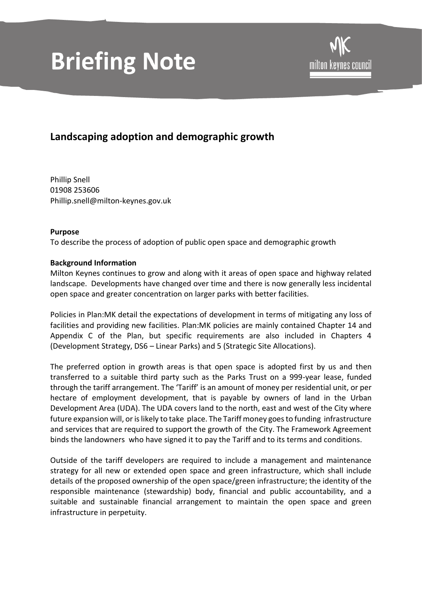# **Briefing Note**

## **Landscaping adoption and demographic growth**

Phillip Snell 01908 253606 Phillip.snell@milton-keynes.gov.uk

### **Purpose**

To describe the process of adoption of public open space and demographic growth

### **Background Information**

Milton Keynes continues to grow and along with it areas of open space and highway related landscape. Developments have changed over time and there is now generally less incidental open space and greater concentration on larger parks with better facilities.

Policies in Plan:MK detail the expectations of development in terms of mitigating any loss of facilities and providing new facilities. Plan:MK policies are mainly contained Chapter 14 and Appendix C of the Plan, but specific requirements are also included in Chapters 4 (Development Strategy, DS6 – Linear Parks) and 5 (Strategic Site Allocations).

The preferred option in growth areas is that open space is adopted first by us and then transferred to a suitable third party such as the Parks Trust on a 999-year lease, funded through the tariff arrangement. The 'Tariff' is an amount of money per residential unit, or per hectare of employment development, that is payable by owners of land in the Urban Development Area (UDA). The UDA covers land to the north, east and west of the City where future expansion will, or is likely to take place. The Tariff money goes to funding infrastructure and services that are required to support the growth of the City. The Framework Agreement binds the landowners who have signed it to pay the Tariff and to its terms and conditions.

Outside of the tariff developers are required to include a management and maintenance strategy for all new or extended open space and green infrastructure, which shall include details of the proposed ownership of the open space/green infrastructure; the identity of the responsible maintenance (stewardship) body, financial and public accountability, and a suitable and sustainable financial arrangement to maintain the open space and green infrastructure in perpetuity.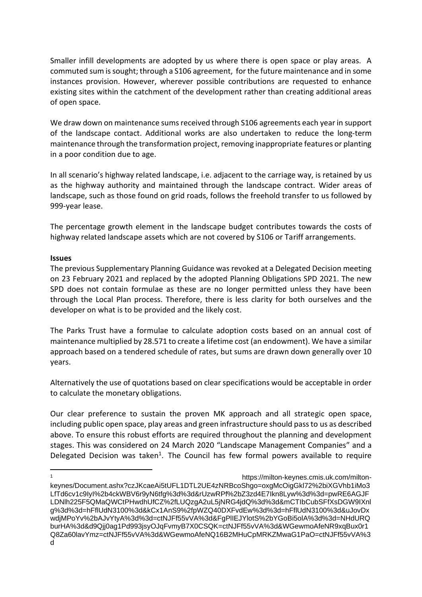Smaller infill developments are adopted by us where there is open space or play areas. A commuted sum is sought; through a S106 agreement, for the future maintenance and in some instances provision. However, wherever possible contributions are requested to enhance existing sites within the catchment of the development rather than creating additional areas of open space.

We draw down on maintenance sums received through S106 agreements each year in support of the landscape contact. Additional works are also undertaken to reduce the long-term maintenance through the transformation project, removing inappropriate features or planting in a poor condition due to age.

In all scenario's highway related landscape, i.e. adjacent to the carriage way, is retained by us as the highway authority and maintained through the landscape contract. Wider areas of landscape, such as those found on grid roads, follows the freehold transfer to us followed by 999-year lease.

The percentage growth element in the landscape budget contributes towards the costs of highway related landscape assets which are not covered by S106 or Tariff arrangements.

#### **Issues**

The previous Supplementary Planning Guidance was revoked at a Delegated Decision meeting on 23 February 2021 and replaced by the adopted Planning Obligations SPD 2021. The new SPD does not contain formulae as these are no longer permitted unless they have been through the Local Plan process. Therefore, there is less clarity for both ourselves and the developer on what is to be provided and the likely cost.

The Parks Trust have a formulae to calculate adoption costs based on an annual cost of maintenance multiplied by 28.571 to create a lifetime cost (an endowment). We have a similar approach based on a tendered schedule of rates, but sums are drawn down generally over 10 years.

Alternatively the use of quotations based on clear specifications would be acceptable in order to calculate the monetary obligations.

Our clear preference to sustain the proven MK approach and all strategic open space, including public open space, play areas and green infrastructure should pass to us as described above. To ensure this robust efforts are required throughout the planning and development stages. This was considered on 24 March 2020 "Landscape Management Companies" and a Delegated Decision was taken<sup>1</sup>. The Council has few formal powers available to require

https://milton-keynes.cmis.uk.com/miltonkeynes/Document.ashx?czJKcaeAi5tUFL1DTL2UE4zNRBcoShgo=oxgMcOigGkl72%2biXGVhb1iMo3 LfTd6cv1c9IyI%2b4ckWBV6r9yN6tfg%3d%3d&rUzwRPf%2bZ3zd4E7Ikn8Lyw%3d%3d=pwRE6AGJF LDNlh225F5QMaQWCtPHwdhUfCZ%2fLUQzgA2uL5jNRG4jdQ%3d%3d&mCTIbCubSFfXsDGW9IXnl g%3d%3d=hFflUdN3100%3d&kCx1AnS9%2fpWZQ40DXFvdEw%3d%3d=hFflUdN3100%3d&uJovDx wdjMPoYv%2bAJvYtyA%3d%3d=ctNJFf55vVA%3d&FgPlIEJYlotS%2bYGoBi5olA%3d%3d=NHdURQ burHA%3d&d9Qjj0ag1Pd993jsyOJqFvmyB7X0CSQK=ctNJFf55vVA%3d&WGewmoAfeNR9xqBux0r1 Q8Za60lavYmz=ctNJFf55vVA%3d&WGewmoAfeNQ16B2MHuCpMRKZMwaG1PaO=ctNJFf55vVA%3 d